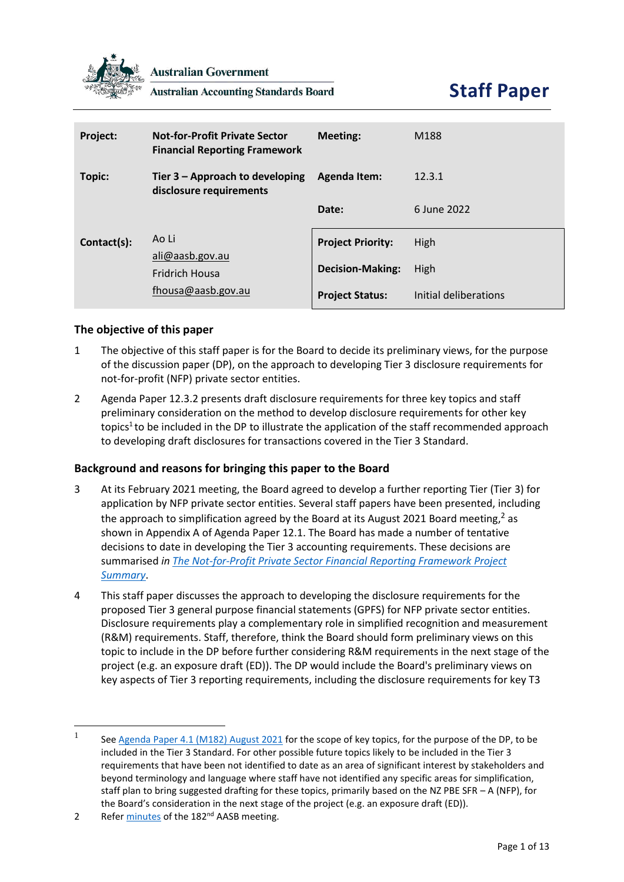

**Australian Government** 

**Australian Accounting Standards Board** 

| Project:    | <b>Not-for-Profit Private Sector</b><br><b>Financial Reporting Framework</b> | Meeting:                 | M188                  |
|-------------|------------------------------------------------------------------------------|--------------------------|-----------------------|
| Topic:      | Tier 3 - Approach to developing<br>disclosure requirements                   | <b>Agenda Item:</b>      | 12.3.1                |
|             |                                                                              | Date:                    | 6 June 2022           |
| Contact(s): | Ao Li<br>ali@aasb.gov.au<br><b>Fridrich Housa</b>                            | <b>Project Priority:</b> | High                  |
|             |                                                                              | <b>Decision-Making:</b>  | High                  |
|             | fhousa@aasb.gov.au                                                           | <b>Project Status:</b>   | Initial deliberations |

# **The objective of this paper**

- 1 The objective of this staff paper is for the Board to decide its preliminary views, for the purpose of the discussion paper (DP), on the approach to developing Tier 3 disclosure requirements for not-for-profit (NFP) private sector entities.
- 2 Agenda Paper 12.3.2 presents draft disclosure requirements for three key topics and staff preliminary consideration on the method to develop disclosure requirements for other key topics<sup>1</sup> to be included in the DP to illustrate the application of the staff recommended approach to developing draft disclosures for transactions covered in the Tier 3 Standard.

# **Background and reasons for bringing this paper to the Board**

- 3 At its February 2021 meeting, the Board agreed to develop a further reporting Tier (Tier 3) for application by NFP private sector entities. Several staff papers have been presented, including the approach to simplification agreed by the Board at its August 2021 Board meeting,<sup>2</sup> as shown in Appendix A of Agenda Paper 12.1. The Board has made a number of tentative decisions to date in developing the Tier 3 accounting requirements. These decisions are summarised *i[n The Not-for-Profit Private Sector Financial Reporting Framework Project](https://aasb.gov.au/media/wi2pvcub/ps_afr-nfp_04-12.pdf)  [Summary](https://aasb.gov.au/media/wi2pvcub/ps_afr-nfp_04-12.pdf)*.
- 4 This staff paper discusses the approach to developing the disclosure requirements for the proposed Tier 3 general purpose financial statements (GPFS) for NFP private sector entities. Disclosure requirements play a complementary role in simplified recognition and measurement (R&M) requirements. Staff, therefore, think the Board should form preliminary views on this topic to include in the DP before further considering R&M requirements in the next stage of the project (e.g. an exposure draft (ED)). The DP would include the Board's preliminary views on key aspects of Tier 3 reporting requirements, including the disclosure requirements for key T3

<sup>1</sup> See [Agenda Paper 4.1 \(M182\) August 2021](https://www.aasb.gov.au/media/hd0kig2j/4-1_sp_covermemo_m182_pp.pdf) for the scope of key topics, for the purpose of the DP, to be included in the Tier 3 Standard. For other possible future topics likely to be included in the Tier 3 requirements that have been not identified to date as an area of significant interest by stakeholders and beyond terminology and language where staff have not identified any specific areas for simplification, staff plan to bring suggested drafting for these topics, primarily based on the NZ PBE SFR – A (NFP), for the Board's consideration in the next stage of the project (e.g. an exposure draft (ED)).

<sup>2</sup> Refe[r minutes](https://aasb.gov.au/media/fsblvmin/aasbapprovedminutesm182_4aug21.pdf) of the 182<sup>nd</sup> AASB meeting.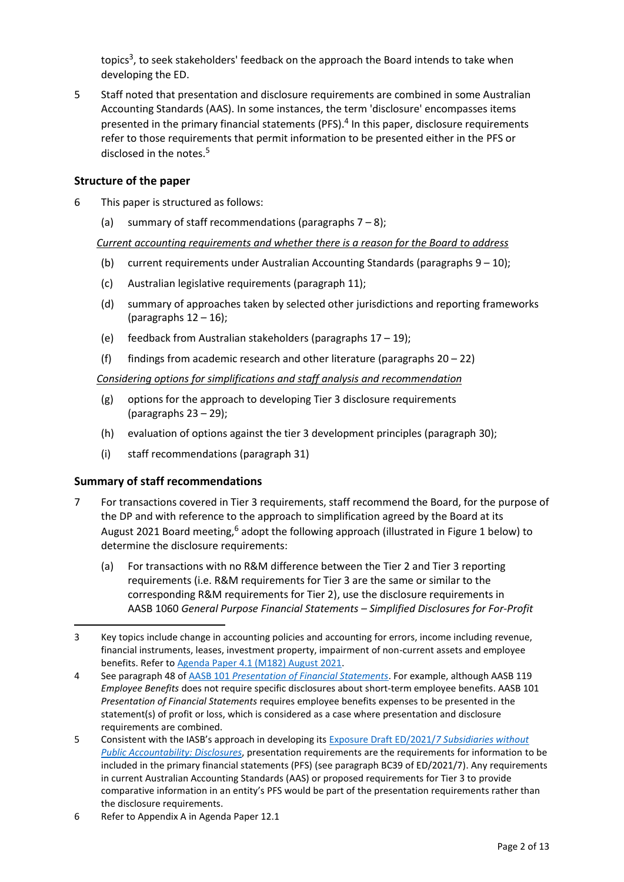<span id="page-1-1"></span>topics<sup>3</sup>, to seek stakeholders' feedback on the approach the Board intends to take when developing the ED.

5 Staff noted that presentation and disclosure requirements are combined in some Australian Accounting Standards (AAS). In some instances, the term 'disclosure' encompasses items presented in the primary financial statements (PFS).<sup>4</sup> In this paper, disclosure requirements refer to those requirements that permit information to be presented either in the PFS or disclosed in the notes.<sup>5</sup>

#### **Structure of the paper**

- 6 This paper is structured as follows:
	- (a) summary of staff recommendations (paragraphs  $7 8$  $7 8$ );

*Current accounting requirements and whether there is a reason for the Board to address*

- (b) current requirements under Australian Accounting Standards (paragraphs [9](#page-3-1) [10\)](#page-3-2);
- (c) Australian legislative requirements (paragraph [11\)](#page-4-0);
- (d) summary of approaches taken by selected other jurisdictions and reporting frameworks (paragraphs  $12 - 16$  $12 - 16$ );
- (e) feedback from Australian stakeholders (paragraphs  $17 19$  $17 19$ );
- (f) findings from academic research and other literature (paragraphs  $20 22$  $20 22$ )

#### *Considering options for simplifications and staff analysis and recommendation*

- (g) options for the approach to developing Tier 3 disclosure requirements (paragraphs  $23 - 29$  $23 - 29$ );
- (h) evaluation of options against the tier 3 development principles (paragrap[h 30\)](#page-12-0);
- (i) staff recommendations (paragrap[h 31\)](#page-12-1)

#### **Summary of staff recommendations**

- <span id="page-1-0"></span>7 For transactions covered in Tier 3 requirements, staff recommend the Board, for the purpose of the DP and with reference to the approach to simplification agreed by the Board at its August 2021 Board meeting,<sup>6</sup> adopt the following approach (illustrated in Figure 1 below) to determine the disclosure requirements:
	- (a) For transactions with no R&M difference between the Tier 2 and Tier 3 reporting requirements (i.e. R&M requirements for Tier 3 are the same or similar to the corresponding R&M requirements for Tier 2), use the disclosure requirements in AASB 1060 *General Purpose Financial Statements – Simplified Disclosures for For-Profit*

<sup>3</sup> Key topics include change in accounting policies and accounting for errors, income including revenue, financial instruments, leases, investment property, impairment of non-current assets and employee benefits. Refer to [Agenda Paper 4.1 \(M182\) August 2021.](https://www.aasb.gov.au/media/hd0kig2j/4-1_sp_covermemo_m182_pp.pdf)

<sup>4</sup> See paragraph 48 of AASB 101 *[Presentation of Financial Statements](https://www.aasb.gov.au/admin/file/content105/c9/AASB101_07-15_COMPmar20_07-21.pdf)*. For example, although AASB 119 *Employee Benefits* does not require specific disclosures about short-term employee benefits. AASB 101 *Presentation of Financial Statements* requires employee benefits expenses to be presented in the statement(s) of profit or loss, which is considered as a case where presentation and disclosure requirements are combined.

<sup>5</sup> Consistent with the IASB's approach in developing its [Exposure Draft ED/2021/](https://www.ifrs.org/content/dam/ifrs/project/subsidiaries-smes/ed2021-7-bc-swpa-d.pdf)*7 Subsidiaries without [Public Accountability: Disclosures](https://www.ifrs.org/content/dam/ifrs/project/subsidiaries-smes/ed2021-7-bc-swpa-d.pdf)*, presentation requirements are the requirements for information to be included in the primary financial statements (PFS) (see paragraph BC39 of ED/2021/7). Any requirements in current Australian Accounting Standards (AAS) or proposed requirements for Tier 3 to provide comparative information in an entity's PFS would be part of the presentation requirements rather than the disclosure requirements.

<sup>6</sup> Refer to Appendix A in Agenda Paper 12.1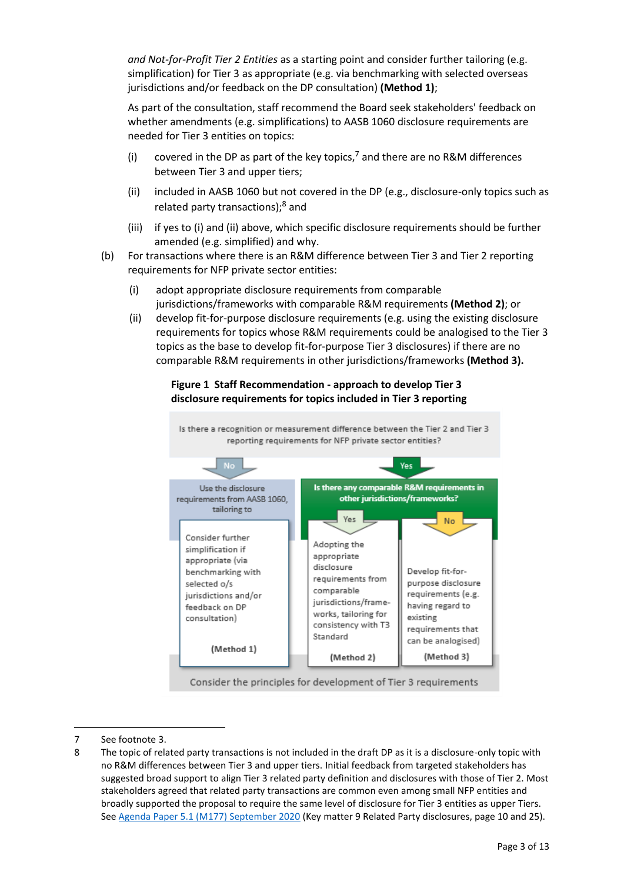*and Not-for-Profit Tier 2 Entities* as a starting point and consider further tailoring (e.g. simplification) for Tier 3 as appropriate (e.g. via benchmarking with selected overseas jurisdictions and/or feedback on the DP consultation) **(Method 1)**;

As part of the consultation, staff recommend the Board seek stakeholders' feedback on whether amendments (e.g. simplifications) to AASB 1060 disclosure requirements are needed for Tier 3 entities on topics:

- (i) covered in the DP as part of the key topics,<sup>7</sup> and there are no R&M differences between Tier 3 and upper tiers;
- (ii) included in AASB 1060 but not covered in the DP (e.g., disclosure-only topics such as related party transactions);<sup>8</sup> and
- (iii) if yes to (i) and (ii) above, which specific disclosure requirements should be further amended (e.g. simplified) and why.
- (b) For transactions where there is an R&M difference between Tier 3 and Tier 2 reporting requirements for NFP private sector entities:
	- (i) adopt appropriate disclosure requirements from comparable jurisdictions/frameworks with comparable R&M requirements **(Method 2)**; or
	- (ii) develop fit-for-purpose disclosure requirements (e.g. using the existing disclosure requirements for topics whose R&M requirements could be analogised to the Tier 3 topics as the base to develop fit-for-purpose Tier 3 disclosures) if there are no comparable R&M requirements in other jurisdictions/frameworks **(Method 3).**

#### **Figure 1 Staff Recommendation - approach to develop Tier 3 disclosure requirements for topics included in Tier 3 reporting**



<sup>7</sup> See footnote [3.](#page-1-1) 

<sup>8</sup> The topic of related party transactions is not included in the draft DP as it is a disclosure-only topic with no R&M differences between Tier 3 and upper tiers. Initial feedback from targeted stakeholders has suggested broad support to align Tier 3 related party definition and disclosures with those of Tier 2. Most stakeholders agreed that related party transactions are common even among small NFP entities and broadly supported the proposal to require the same level of disclosure for Tier 3 entities as upper Tiers. See [Agenda Paper 5.1 \(M177\) September 2020](https://aasb.gov.au/admin/file/content102/c3/5.1_SP_NFPFRF_M177_PP.pdf) (Key matter 9 Related Party disclosures, page 10 and 25).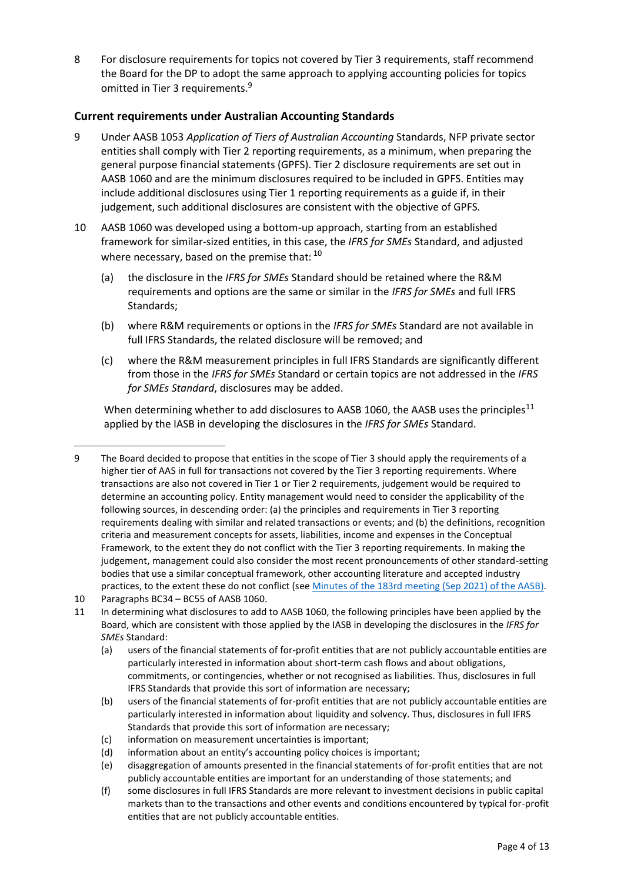<span id="page-3-0"></span>8 For disclosure requirements for topics not covered by Tier 3 requirements, staff recommend the Board for the DP to adopt the same approach to applying accounting policies for topics omitted in Tier 3 requirements.<sup>9</sup>

# **Current requirements under Australian Accounting Standards**

- <span id="page-3-1"></span>9 Under AASB 1053 *Application of Tiers of Australian Accounting* Standards, NFP private sector entities shall comply with Tier 2 reporting requirements, as a minimum, when preparing the general purpose financial statements (GPFS). Tier 2 disclosure requirements are set out in AASB 1060 and are the minimum disclosures required to be included in GPFS. Entities may include additional disclosures using Tier 1 reporting requirements as a guide if, in their judgement, such additional disclosures are consistent with the objective of GPFS.
- <span id="page-3-2"></span>10 AASB 1060 was developed using a bottom-up approach, starting from an established framework for similar-sized entities, in this case, the *IFRS for SMEs* Standard, and adjusted where necessary, based on the premise that: 10
	- (a) the disclosure in the *IFRS for SMEs* Standard should be retained where the R&M requirements and options are the same or similar in the *IFRS for SMEs* and full IFRS Standards;
	- (b) where R&M requirements or options in the *IFRS for SMEs* Standard are not available in full IFRS Standards, the related disclosure will be removed; and
	- (c) where the R&M measurement principles in full IFRS Standards are significantly different from those in the *IFRS for SMEs* Standard or certain topics are not addressed in the *IFRS for SMEs Standard*, disclosures may be added.

<span id="page-3-3"></span>When determining whether to add disclosures to AASB 1060, the AASB uses the principles<sup>11</sup> applied by the IASB in developing the disclosures in the *IFRS for SMEs* Standard.

<sup>9</sup> The Board decided to propose that entities in the scope of Tier 3 should apply the requirements of a higher tier of AAS in full for transactions not covered by the Tier 3 reporting requirements. Where transactions are also not covered in Tier 1 or Tier 2 requirements, judgement would be required to determine an accounting policy. Entity management would need to consider the applicability of the following sources, in descending order: (a) the principles and requirements in Tier 3 reporting requirements dealing with similar and related transactions or events; and (b) the definitions, recognition criteria and measurement concepts for assets, liabilities, income and expenses in the Conceptual Framework, to the extent they do not conflict with the Tier 3 reporting requirements. In making the judgement, management could also consider the most recent pronouncements of other standard-setting bodies that use a similar conceptual framework, other accounting literature and accepted industry practices, to the extent these do not conflict (see [Minutes of the 183rd meeting \(Sep 2021\) of the AASB\)](https://aasb.gov.au/media/5l2ptuyt/approvedaasbminutesm183sept21.pdf).

<sup>10</sup> Paragraphs BC34 – BC55 of AASB 1060.

<sup>11</sup> In determining what disclosures to add to AASB 1060, the following principles have been applied by the Board, which are consistent with those applied by the IASB in developing the disclosures in the *IFRS for SMEs* Standard:

<sup>(</sup>a) users of the financial statements of for-profit entities that are not publicly accountable entities are particularly interested in information about short-term cash flows and about obligations, commitments, or contingencies, whether or not recognised as liabilities. Thus, disclosures in full IFRS Standards that provide this sort of information are necessary;

<sup>(</sup>b) users of the financial statements of for-profit entities that are not publicly accountable entities are particularly interested in information about liquidity and solvency. Thus, disclosures in full IFRS Standards that provide this sort of information are necessary;

<sup>(</sup>c) information on measurement uncertainties is important;

<sup>(</sup>d) information about an entity's accounting policy choices is important;

<sup>(</sup>e) disaggregation of amounts presented in the financial statements of for-profit entities that are not publicly accountable entities are important for an understanding of those statements; and

<sup>(</sup>f) some disclosures in full IFRS Standards are more relevant to investment decisions in public capital markets than to the transactions and other events and conditions encountered by typical for-profit entities that are not publicly accountable entities.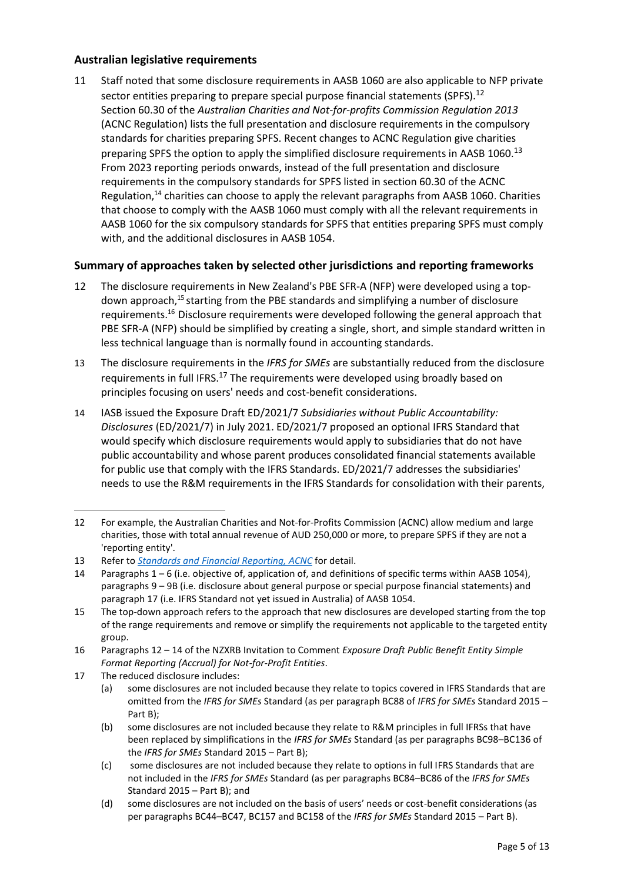# **Australian legislative requirements**

<span id="page-4-0"></span>11 Staff noted that some disclosure requirements in AASB 1060 are also applicable to NFP private sector entities preparing to prepare special purpose financial statements (SPFS).<sup>12</sup> Section 60.30 of the *Australian Charities and Not-for-profits Commission Regulation 2013* (ACNC Regulation) lists the full presentation and disclosure requirements in the compulsory standards for charities preparing SPFS. Recent changes to ACNC Regulation give charities preparing SPFS the option to apply the simplified disclosure requirements in AASB 1060.<sup>13</sup> From 2023 reporting periods onwards, instead of the full presentation and disclosure requirements in the compulsory standards for SPFS listed in section 60.30 of the ACNC Regulation, $14$  charities can choose to apply the relevant paragraphs from AASB 1060. Charities that choose to comply with the AASB 1060 must comply with all the relevant requirements in AASB 1060 for the six compulsory standards for SPFS that entities preparing SPFS must comply with, and the additional disclosures in AASB 1054.

# **Summary of approaches taken by selected other jurisdictions and reporting frameworks**

- <span id="page-4-2"></span><span id="page-4-1"></span>12 The disclosure requirements in New Zealand's PBE SFR-A (NFP) were developed using a topdown approach, <sup>15</sup> starting from the PBE standards and simplifying a number of disclosure requirements.<sup>16</sup> Disclosure requirements were developed following the general approach that PBE SFR-A (NFP) should be simplified by creating a single, short, and simple standard written in less technical language than is normally found in accounting standards.
- 13 The disclosure requirements in the *IFRS for SMEs* are substantially reduced from the disclosure requirements in full IFRS.<sup>17</sup> The requirements were developed using broadly based on principles focusing on users' needs and cost-benefit considerations.
- 14 IASB issued the Exposure Draft ED/2021/7 *Subsidiaries without Public Accountability: Disclosures* (ED/2021/7) in July 2021. ED/2021/7 proposed an optional IFRS Standard that would specify which disclosure requirements would apply to subsidiaries that do not have public accountability and whose parent produces consolidated financial statements available for public use that comply with the IFRS Standards. ED/2021/7 addresses the subsidiaries' needs to use the R&M requirements in the IFRS Standards for consolidation with their parents,

17 The reduced disclosure includes:

<sup>12</sup> For example, the Australian Charities and Not-for-Profits Commission (ACNC) allow medium and large charities, those with total annual revenue of AUD 250,000 or more, to prepare SPFS if they are not a 'reporting entity'.

<sup>13</sup> Refer to *[Standards and Financial Reporting, ACNC](https://www.acnc.gov.au/for-charities/manage-your-charity/obligations-acnc/reporting-annually-acnc/standards-and-financial-reporting)* for detail.

<sup>14</sup> Paragraphs 1 – 6 (i.e. objective of, application of, and definitions of specific terms within AASB 1054), paragraphs 9 – 9B (i.e. disclosure about general purpose or special purpose financial statements) and paragraph 17 (i.e. IFRS Standard not yet issued in Australia) of AASB 1054.

<sup>15</sup> The top-down approach refers to the approach that new disclosures are developed starting from the top of the range requirements and remove or simplify the requirements not applicable to the targeted entity group.

<sup>16</sup> Paragraphs 12 – 14 of the NZXRB Invitation to Comment *Exposure Draft Public Benefit Entity Simple Format Reporting (Accrual) for Not-for-Profit Entities*.

<sup>(</sup>a) some disclosures are not included because they relate to topics covered in IFRS Standards that are omitted from the *IFRS for SMEs* Standard (as per paragraph BC88 of *IFRS for SMEs* Standard 2015 – Part B);

<sup>(</sup>b) some disclosures are not included because they relate to R&M principles in full IFRSs that have been replaced by simplifications in the *IFRS for SMEs* Standard (as per paragraphs BC98–BC136 of the *IFRS for SMEs* Standard 2015 – Part B);

<sup>(</sup>c) some disclosures are not included because they relate to options in full IFRS Standards that are not included in the *IFRS for SMEs* Standard (as per paragraphs BC84–BC86 of the *IFRS for SMEs* Standard 2015 – Part B); and

<sup>(</sup>d) some disclosures are not included on the basis of users' needs or cost-benefit considerations (as per paragraphs BC44–BC47, BC157 and BC158 of the *IFRS for SMEs* Standard 2015 – Part B).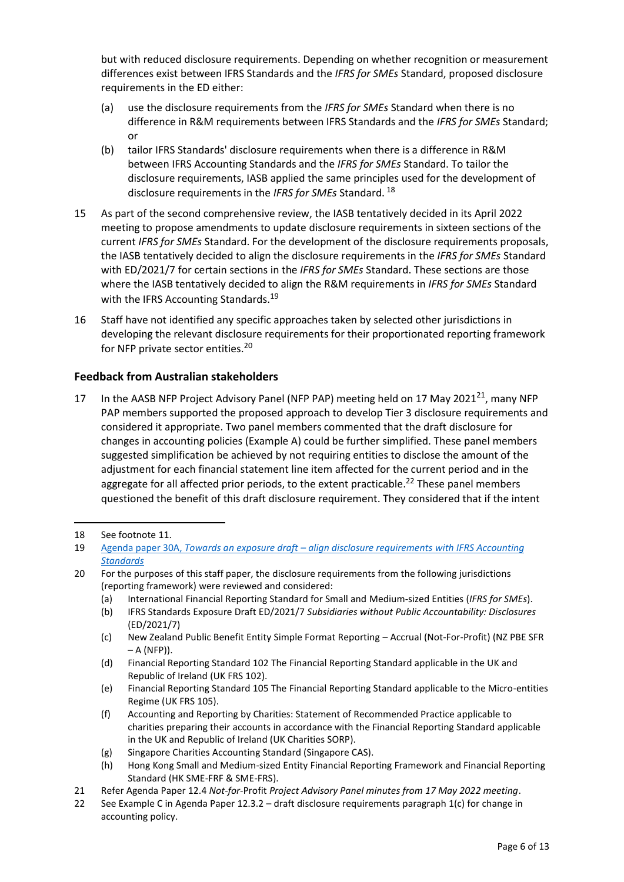but with reduced disclosure requirements. Depending on whether recognition or measurement differences exist between IFRS Standards and the *IFRS for SMEs* Standard, proposed disclosure requirements in the ED either:

- (a) use the disclosure requirements from the *IFRS for SMEs* Standard when there is no difference in R&M requirements between IFRS Standards and the *IFRS for SMEs* Standard; or
- (b) tailor IFRS Standards' disclosure requirements when there is a difference in R&M between IFRS Accounting Standards and the *IFRS for SMEs* Standard. To tailor the disclosure requirements, IASB applied the same principles used for the development of disclosure requirements in the *IFRS for SMEs* Standard. 18
- 15 As part of the second comprehensive review, the IASB tentatively decided in its April 2022 meeting to propose amendments to update disclosure requirements in sixteen sections of the current *IFRS for SMEs* Standard. For the development of the disclosure requirements proposals, the IASB tentatively decided to align the disclosure requirements in the *IFRS for SMEs* Standard with ED/2021/7 for certain sections in the *IFRS for SMEs* Standard. These sections are those where the IASB tentatively decided to align the R&M requirements in *IFRS for SMEs* Standard with the IFRS Accounting Standards.<sup>19</sup>
- 16 Staff have not identified any specific approaches taken by selected other jurisdictions in developing the relevant disclosure requirements for their proportionated reporting framework for NFP private sector entities.<sup>20</sup>

# **Feedback from Australian stakeholders**

<span id="page-5-0"></span>17 In the AASB NFP Project Advisory Panel (NFP PAP) meeting held on 17 May 2021<sup>21</sup>, many NFP PAP members supported the proposed approach to develop Tier 3 disclosure requirements and considered it appropriate. Two panel members commented that the draft disclosure for changes in accounting policies (Example A) could be further simplified. These panel members suggested simplification be achieved by not requiring entities to disclose the amount of the adjustment for each financial statement line item affected for the current period and in the aggregate for all affected prior periods, to the extent practicable.<sup>22</sup> These panel members questioned the benefit of this draft disclosure requirement. They considered that if the intent

- (a) International Financial Reporting Standard for Small and Medium-sized Entities (*IFRS for SMEs*).
- (b) IFRS Standards Exposure Draft ED/2021/7 *Subsidiaries without Public Accountability: Disclosures* (ED/2021/7)
- (c) New Zealand Public Benefit Entity Simple Format Reporting Accrual (Not-For-Profit) (NZ PBE SFR  $- A (NFP)$ ).
- (d) Financial Reporting Standard 102 The Financial Reporting Standard applicable in the UK and Republic of Ireland (UK FRS 102).
- (e) Financial Reporting Standard 105 The Financial Reporting Standard applicable to the Micro-entities Regime (UK FRS 105).
- (f) Accounting and Reporting by Charities: Statement of Recommended Practice applicable to charities preparing their accounts in accordance with the Financial Reporting Standard applicable in the UK and Republic of Ireland (UK Charities SORP).
- (g) Singapore Charities Accounting Standard (Singapore CAS).
- (h) Hong Kong Small and Medium-sized Entity Financial Reporting Framework and Financial Reporting Standard (HK SME-FRF & SME-FRS).

22 See Example C in Agenda Paper 12.3.2 – draft disclosure requirements paragraph 1(c) for change in accounting policy.

<sup>18</sup> See footnote [11.](#page-3-3) 

<sup>19</sup> Agenda paper 30A, *Towards an exposure draft – [align disclosure requirements with IFRS Accounting](https://www.ifrs.org/content/dam/ifrs/meetings/2022/march/iasb/ap30a-aligning-disclosures.pdf)  [Standards](https://www.ifrs.org/content/dam/ifrs/meetings/2022/march/iasb/ap30a-aligning-disclosures.pdf)*

<sup>20</sup> For the purposes of this staff paper, the disclosure requirements from the following jurisdictions (reporting framework) were reviewed and considered:

<sup>21</sup> Refer Agenda Paper 12.4 *Not-for-*Profit *Project Advisory Panel minutes from 17 May 2022 meeting*.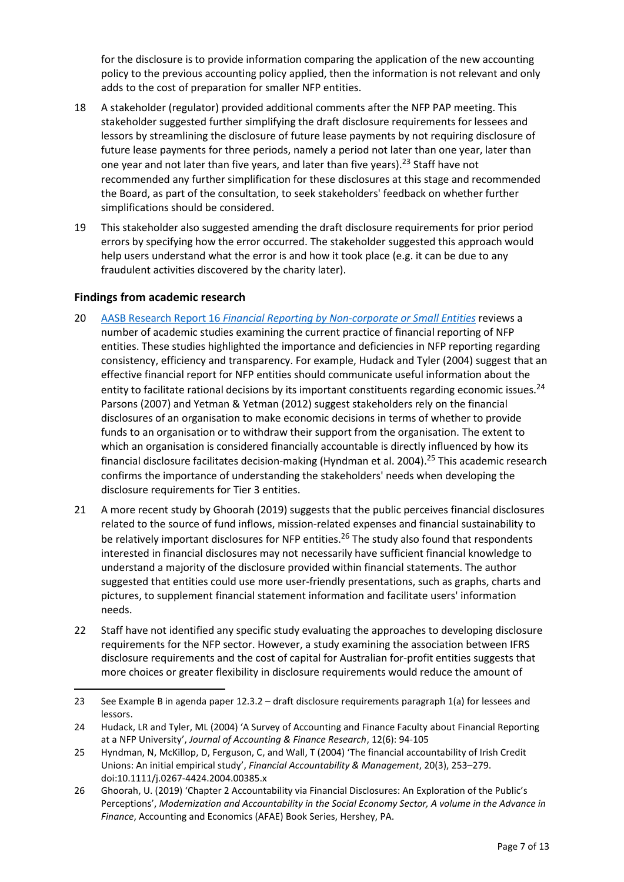for the disclosure is to provide information comparing the application of the new accounting policy to the previous accounting policy applied, then the information is not relevant and only adds to the cost of preparation for smaller NFP entities.

- 18 A stakeholder (regulator) provided additional comments after the NFP PAP meeting. This stakeholder suggested further simplifying the draft disclosure requirements for lessees and lessors by streamlining the disclosure of future lease payments by not requiring disclosure of future lease payments for three periods, namely a period not later than one year, later than one year and not later than five years, and later than five years).<sup>23</sup> Staff have not recommended any further simplification for these disclosures at this stage and recommended the Board, as part of the consultation, to seek stakeholders' feedback on whether further simplifications should be considered.
- <span id="page-6-0"></span>19 This stakeholder also suggested amending the draft disclosure requirements for prior period errors by specifying how the error occurred. The stakeholder suggested this approach would help users understand what the error is and how it took place (e.g. it can be due to any fraudulent activities discovered by the charity later).

#### **Findings from academic research**

- <span id="page-6-1"></span>20 AASB Research Report 16 *[Financial Reporting by Non-corporate or Small Entities](https://aasb.gov.au/admin/file/content102/c3/RR16_FinancialReportingByNonCorporateSmallEntities_04-21.pdf)* reviews a number of academic studies examining the current practice of financial reporting of NFP entities. These studies highlighted the importance and deficiencies in NFP reporting regarding consistency, efficiency and transparency. For example, Hudack and Tyler (2004) suggest that an effective financial report for NFP entities should communicate useful information about the entity to facilitate rational decisions by its important constituents regarding economic issues.<sup>24</sup> Parsons (2007) and Yetman & Yetman (2012) suggest stakeholders rely on the financial disclosures of an organisation to make economic decisions in terms of whether to provide funds to an organisation or to withdraw their support from the organisation. The extent to which an organisation is considered financially accountable is directly influenced by how its financial disclosure facilitates decision-making (Hyndman et al. 2004). <sup>25</sup> This academic research confirms the importance of understanding the stakeholders' needs when developing the disclosure requirements for Tier 3 entities.
- 21 A more recent study by Ghoorah (2019) suggests that the public perceives financial disclosures related to the source of fund inflows, mission-related expenses and financial sustainability to be relatively important disclosures for NFP entities.<sup>26</sup> The study also found that respondents interested in financial disclosures may not necessarily have sufficient financial knowledge to understand a majority of the disclosure provided within financial statements. The author suggested that entities could use more user-friendly presentations, such as graphs, charts and pictures, to supplement financial statement information and facilitate users' information needs.
- <span id="page-6-2"></span>22 Staff have not identified any specific study evaluating the approaches to developing disclosure requirements for the NFP sector. However, a study examining the association between IFRS disclosure requirements and the cost of capital for Australian for-profit entities suggests that more choices or greater flexibility in disclosure requirements would reduce the amount of

<sup>23</sup> See Example B in agenda paper 12.3.2 – draft disclosure requirements paragraph 1(a) for lessees and lessors.

<sup>24</sup> Hudack, LR and Tyler, ML (2004) 'A Survey of Accounting and Finance Faculty about Financial Reporting at a NFP University', *Journal of Accounting & Finance Research*, 12(6): 94-105

<sup>25</sup> Hyndman, N, McKillop, D, Ferguson, C, and Wall, T (2004) 'The financial accountability of Irish Credit Unions: An initial empirical study', *Financial Accountability & Management*, 20(3), 253–279. doi:10.1111/j.0267-4424.2004.00385.x

<sup>26</sup> Ghoorah, U. (2019) 'Chapter 2 Accountability via Financial Disclosures: An Exploration of the Public's Perceptions', *Modernization and Accountability in the Social Economy Sector, A volume in the Advance in Finance*, Accounting and Economics (AFAE) Book Series, Hershey, PA.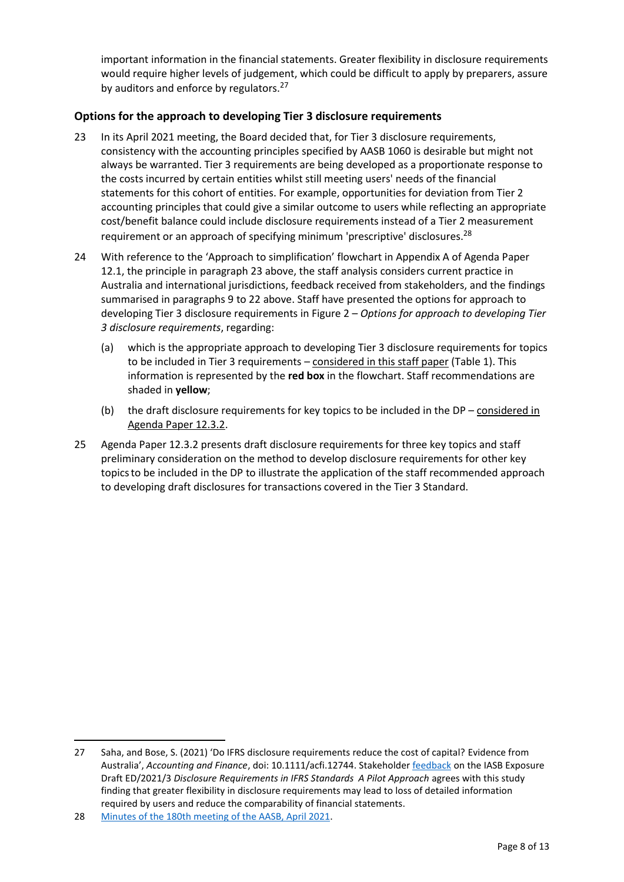important information in the financial statements. Greater flexibility in disclosure requirements would require higher levels of judgement, which could be difficult to apply by preparers, assure by auditors and enforce by regulators.<sup>27</sup>

# **Options for the approach to developing Tier 3 disclosure requirements**

- <span id="page-7-0"></span>23 In its April 2021 meeting, the Board decided that, for Tier 3 disclosure requirements, consistency with the accounting principles specified by AASB 1060 is desirable but might not always be warranted. Tier 3 requirements are being developed as a proportionate response to the costs incurred by certain entities whilst still meeting users' needs of the financial statements for this cohort of entities. For example, opportunities for deviation from Tier 2 accounting principles that could give a similar outcome to users while reflecting an appropriate cost/benefit balance could include disclosure requirements instead of a Tier 2 measurement requirement or an approach of specifying minimum 'prescriptive' disclosures.<sup>28</sup>
- 24 With reference to the 'Approach to simplification' flowchart in Appendix A of Agenda Paper 12.1, the principle in paragraph [23](#page-7-0) above, the staff analysis considers current practice in Australia and international jurisdictions, feedback received from stakeholders, and the findings summarised in paragraph[s 9](#page-3-1) t[o 22](#page-6-2) above. Staff have presented the options for approach to developing Tier 3 disclosure requirements in Figure 2 – *Options for approach to developing Tier 3 disclosure requirements*, regarding:
	- (a) which is the appropriate approach to developing Tier 3 disclosure requirements for topics to be included in Tier 3 requirements – considered in this staff paper (Table 1). This information is represented by the **red box** in the flowchart. Staff recommendations are shaded in **yellow**;
	- (b) the draft disclosure requirements for key topics to be included in the  $DP -$  considered in Agenda Paper 12.3.2.
- 25 Agenda Paper 12.3.2 presents draft disclosure requirements for three key topics and staff preliminary consideration on the method to develop disclosure requirements for other key topicsto be included in the DP to illustrate the application of the staff recommended approach to developing draft disclosures for transactions covered in the Tier 3 Standard.

<sup>27</sup> Saha, and Bose, S. (2021) 'Do IFRS disclosure requirements reduce the cost of capital? Evidence from Australia', *Accounting and Finance*, doi: 10.1111/acfi.12744. Stakeholde[r feedback](file:///C:/Users/ali1/OneDrive%20-%20AUSTRALIAN%20ACCOUNTING%20STANDARDS%20-%20AUDITING%20AND%20ASSURANCE%20STANDARDS%20BOARD/AL%20Work/Disclosure%20Initiatives/Comment%20letter/AASB_DisclosureRequirementCommentLetter_Dec2021_Final_clean.pdf) on the IASB Exposure Draft ED/2021/3 *Disclosure Requirements in IFRS Standards A Pilot Approach* agrees with this study finding that greater flexibility in disclosure requirements may lead to loss of detailed information required by users and reduce the comparability of financial statements.

<sup>28</sup> [Minutes of the 180th meeting of the AASB, April 2021.](https://aasb.gov.au/media/2pontxfg/aasbapprovedminutesm180_21-22june2021.pdf)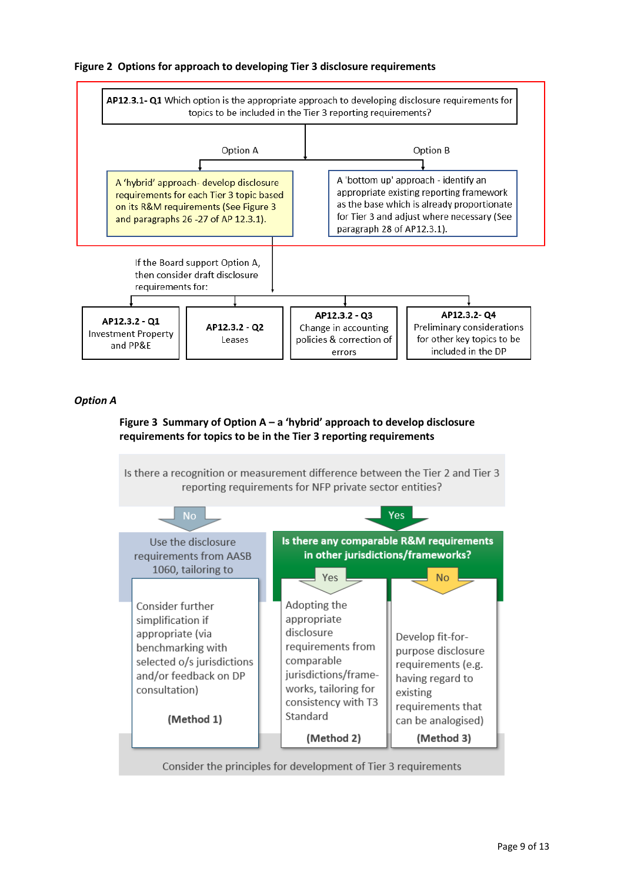#### **Figure 2 Options for approach to developing Tier 3 disclosure requirements**



#### *Option A*

#### <span id="page-8-0"></span>**Figure 3 Summary of Option A – a 'hybrid' approach to develop disclosure requirements for topics to be in the Tier 3 reporting requirements**

Is there a recognition or measurement difference between the Tier 2 and Tier 3 reporting requirements for NFP private sector entities? **No** Yes: Is there any comparable R&M requirements Use the disclosure in other jurisdictions/frameworks? requirements from AASB 1060, tailoring to Yes  $N<sub>0</sub>$ Adopting the Consider further appropriate simplification if disclosure appropriate (via Develop fit-forrequirements from benchmarking with purpose disclosure comparable selected o/s jurisdictions requirements (e.g. and/or feedback on DP jurisdictions/framehaving regard to consultation) works, tailoring for existing consistency with T3 requirements that Standard (Method 1) can be analogised) (Method 2) (Method 3)

Consider the principles for development of Tier 3 requirements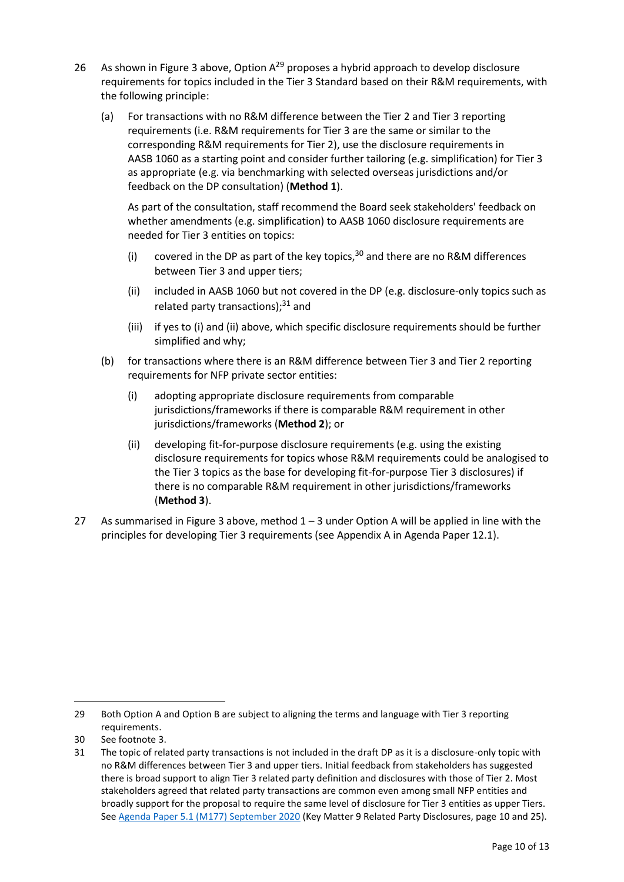- <span id="page-9-0"></span>26 As shown i[n Figure 3](#page-8-0) above, Option  $A^{29}$  proposes a hybrid approach to develop disclosure requirements for topics included in the Tier 3 Standard based on their R&M requirements, with the following principle:
	- (a) For transactions with no R&M difference between the Tier 2 and Tier 3 reporting requirements (i.e. R&M requirements for Tier 3 are the same or similar to the corresponding R&M requirements for Tier 2), use the disclosure requirements in AASB 1060 as a starting point and consider further tailoring (e.g. simplification) for Tier 3 as appropriate (e.g. via benchmarking with selected overseas jurisdictions and/or feedback on the DP consultation) (**Method 1**).

As part of the consultation, staff recommend the Board seek stakeholders' feedback on whether amendments (e.g. simplification) to AASB 1060 disclosure requirements are needed for Tier 3 entities on topics:

- (i) covered in the DP as part of the key topics,  $30$  and there are no R&M differences between Tier 3 and upper tiers;
- (ii) included in AASB 1060 but not covered in the DP (e.g. disclosure-only topics such as related party transactions); $31$  and
- (iii) if yes to (i) and (ii) above, which specific disclosure requirements should be further simplified and why;
- (b) for transactions where there is an R&M difference between Tier 3 and Tier 2 reporting requirements for NFP private sector entities:
	- (i) adopting appropriate disclosure requirements from comparable jurisdictions/frameworks if there is comparable R&M requirement in other jurisdictions/frameworks (**Method 2**); or
	- (ii) developing fit-for-purpose disclosure requirements (e.g. using the existing disclosure requirements for topics whose R&M requirements could be analogised to the Tier 3 topics as the base for developing fit-for-purpose Tier 3 disclosures) if there is no comparable R&M requirement in other jurisdictions/frameworks (**Method 3**).
- 27 As summarised i[n Figure 3](#page-8-0) above, method 1 3 under Option A will be applied in line with the principles for developing Tier 3 requirements (see Appendix A in Agenda Paper 12.1).

29 Both Option A and Option B are subject to aligning the terms and language with Tier 3 reporting requirements.

<sup>30</sup> See footnote [3.](#page-1-1)

<sup>31</sup> The topic of related party transactions is not included in the draft DP as it is a disclosure-only topic with no R&M differences between Tier 3 and upper tiers. Initial feedback from stakeholders has suggested there is broad support to align Tier 3 related party definition and disclosures with those of Tier 2. Most stakeholders agreed that related party transactions are common even among small NFP entities and broadly support for the proposal to require the same level of disclosure for Tier 3 entities as upper Tiers. See [Agenda Paper 5.1 \(M177\) September 2020](https://aasb.gov.au/admin/file/content102/c3/5.1_SP_NFPFRF_M177_PP.pdf) (Key Matter 9 Related Party Disclosures, page 10 and 25).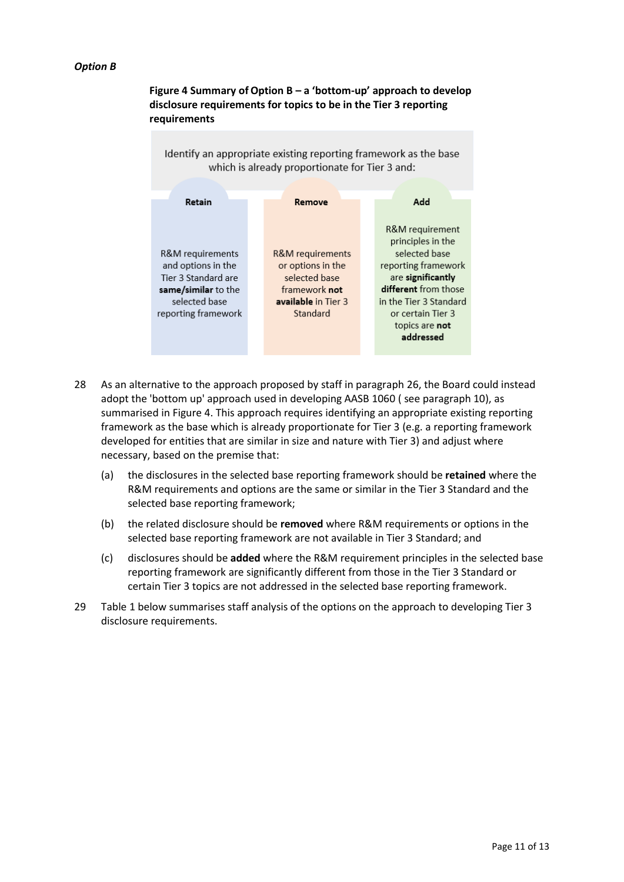#### <span id="page-10-2"></span>*Option B*



<span id="page-10-1"></span>**Figure 4 Summary of Option B – a 'bottom-up' approach to develop disclosure requirements for topics to be in the Tier 3 reporting requirements**

- 28 As an alternative to the approach proposed by staff in paragraph [26,](#page-9-0) the Board could instead adopt the 'bottom up' approach used in developing AASB 1060 ( see paragrap[h 10\)](#page-3-2), as summarised i[n Figure 4.](#page-10-1) This approach requires identifying an appropriate existing reporting framework as the base which is already proportionate for Tier 3 (e.g. a reporting framework developed for entities that are similar in size and nature with Tier 3) and adjust where necessary, based on the premise that:
	- (a) the disclosures in the selected base reporting framework should be **retained** where the R&M requirements and options are the same or similar in the Tier 3 Standard and the selected base reporting framework;
	- (b) the related disclosure should be **removed** where R&M requirements or options in the selected base reporting framework are not available in Tier 3 Standard; and
	- (c) disclosures should be **added** where the R&M requirement principles in the selected base reporting framework are significantly different from those in the Tier 3 Standard or certain Tier 3 topics are not addressed in the selected base reporting framework.
- <span id="page-10-0"></span>29 Table 1 below summarises staff analysis of the options on the approach to developing Tier 3 disclosure requirements.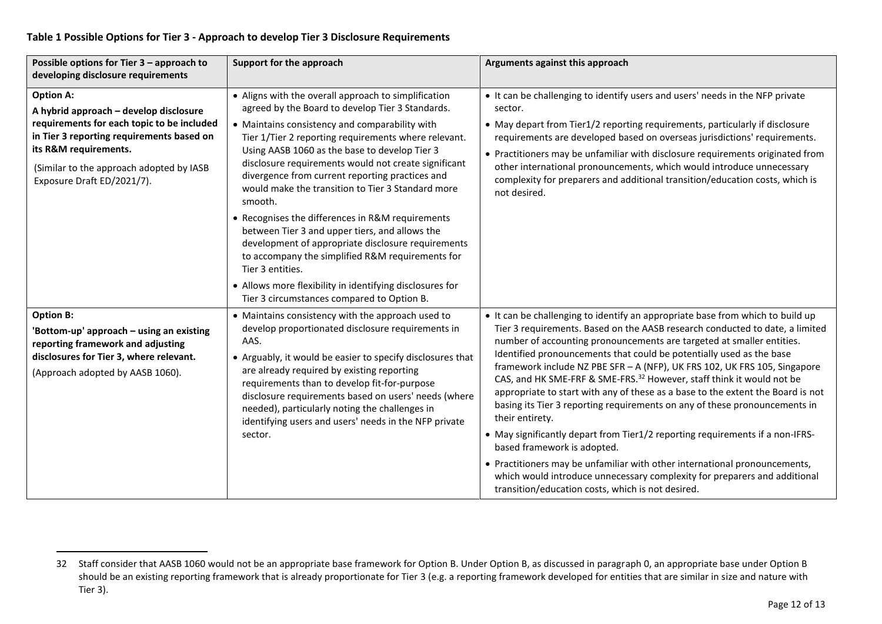# **Table 1 Possible Options for Tier 3 - Approach to develop Tier 3 Disclosure Requirements**

| Possible options for Tier 3 - approach to<br>developing disclosure requirements                                                                                                                                                                          | Support for the approach                                                                                                                                                                                                                                                                                                                                                                                                                                                                                                                                                                                                                                                           | Arguments against this approach                                                                                                                                                                                                                                                                                                                                                                                                                                                                                                                                                                                                                                                                                                                                                                                                                                                                                                                                                                       |
|----------------------------------------------------------------------------------------------------------------------------------------------------------------------------------------------------------------------------------------------------------|------------------------------------------------------------------------------------------------------------------------------------------------------------------------------------------------------------------------------------------------------------------------------------------------------------------------------------------------------------------------------------------------------------------------------------------------------------------------------------------------------------------------------------------------------------------------------------------------------------------------------------------------------------------------------------|-------------------------------------------------------------------------------------------------------------------------------------------------------------------------------------------------------------------------------------------------------------------------------------------------------------------------------------------------------------------------------------------------------------------------------------------------------------------------------------------------------------------------------------------------------------------------------------------------------------------------------------------------------------------------------------------------------------------------------------------------------------------------------------------------------------------------------------------------------------------------------------------------------------------------------------------------------------------------------------------------------|
| <b>Option A:</b><br>A hybrid approach - develop disclosure<br>requirements for each topic to be included<br>in Tier 3 reporting requirements based on<br>its R&M requirements.<br>(Similar to the approach adopted by IASB<br>Exposure Draft ED/2021/7). | • Aligns with the overall approach to simplification<br>agreed by the Board to develop Tier 3 Standards.<br>• Maintains consistency and comparability with<br>Tier 1/Tier 2 reporting requirements where relevant.<br>Using AASB 1060 as the base to develop Tier 3<br>disclosure requirements would not create significant<br>divergence from current reporting practices and<br>would make the transition to Tier 3 Standard more<br>smooth.<br>• Recognises the differences in R&M requirements<br>between Tier 3 and upper tiers, and allows the<br>development of appropriate disclosure requirements<br>to accompany the simplified R&M requirements for<br>Tier 3 entities. | • It can be challenging to identify users and users' needs in the NFP private<br>sector.<br>• May depart from Tier1/2 reporting requirements, particularly if disclosure<br>requirements are developed based on overseas jurisdictions' requirements.<br>• Practitioners may be unfamiliar with disclosure requirements originated from<br>other international pronouncements, which would introduce unnecessary<br>complexity for preparers and additional transition/education costs, which is<br>not desired.                                                                                                                                                                                                                                                                                                                                                                                                                                                                                      |
|                                                                                                                                                                                                                                                          | • Allows more flexibility in identifying disclosures for<br>Tier 3 circumstances compared to Option B.                                                                                                                                                                                                                                                                                                                                                                                                                                                                                                                                                                             |                                                                                                                                                                                                                                                                                                                                                                                                                                                                                                                                                                                                                                                                                                                                                                                                                                                                                                                                                                                                       |
| <b>Option B:</b><br>'Bottom-up' approach - using an existing<br>reporting framework and adjusting<br>disclosures for Tier 3, where relevant.<br>(Approach adopted by AASB 1060).                                                                         | • Maintains consistency with the approach used to<br>develop proportionated disclosure requirements in<br>AAS.<br>• Arguably, it would be easier to specify disclosures that<br>are already required by existing reporting<br>requirements than to develop fit-for-purpose<br>disclosure requirements based on users' needs (where<br>needed), particularly noting the challenges in<br>identifying users and users' needs in the NFP private<br>sector.                                                                                                                                                                                                                           | • It can be challenging to identify an appropriate base from which to build up<br>Tier 3 requirements. Based on the AASB research conducted to date, a limited<br>number of accounting pronouncements are targeted at smaller entities.<br>Identified pronouncements that could be potentially used as the base<br>framework include NZ PBE SFR - A (NFP), UK FRS 102, UK FRS 105, Singapore<br>CAS, and HK SME-FRF & SME-FRS. <sup>32</sup> However, staff think it would not be<br>appropriate to start with any of these as a base to the extent the Board is not<br>basing its Tier 3 reporting requirements on any of these pronouncements in<br>their entirety.<br>• May significantly depart from Tier1/2 reporting requirements if a non-IFRS-<br>based framework is adopted.<br>• Practitioners may be unfamiliar with other international pronouncements,<br>which would introduce unnecessary complexity for preparers and additional<br>transition/education costs, which is not desired. |

<sup>32</sup> Staff consider that AASB 1060 would not be an appropriate base framework for Option B. Under Option B, as discussed in paragrap[h 0,](#page-10-2) an appropriate base under Option B should be an existing reporting framework that is already proportionate for Tier 3 (e.g. a reporting framework developed for entities that are similar in size and nature with Tier 3).